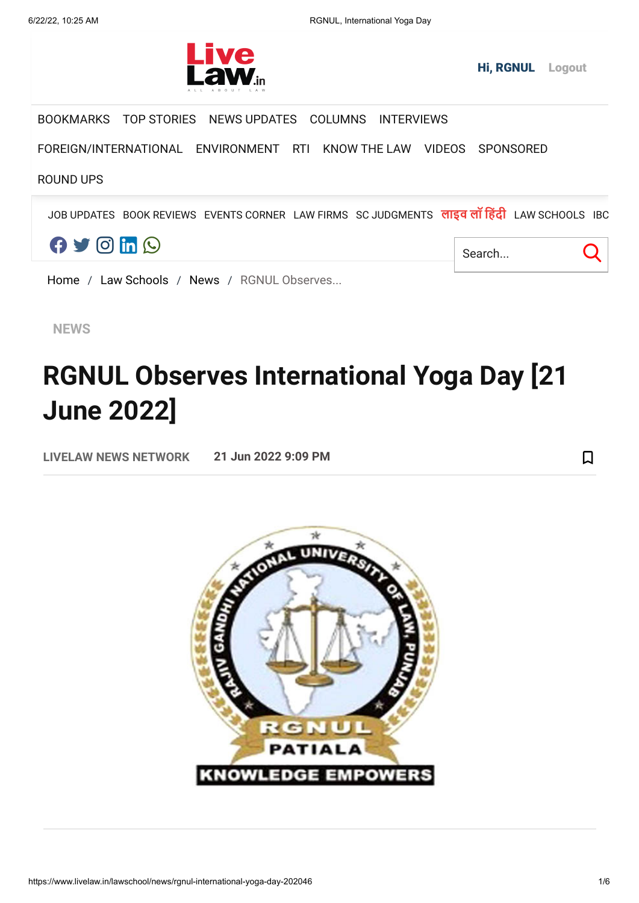

Q

 $\Box$ 

BOOKMARKS TOP STORIES NEWS UPDATES COLUMNS INTERVIEWS

FOREIGN/INTERNATIONAL ENVIRONMENT RTI KNOW THE LAW VIDEOS SPONSORED

## ROUND UPS

JOB UPDATES BOOK REVIEWS EVENTS CORNER LAW FIRMS SC JUDGMENTS **लाइव लॉ हिंदी** LAW SCHOOLS IBC



Home / Law Schools / News / RGNUL Observes...

**NEWS**

## **RGNUL Observes International Yoga Day [21 June 2022]**

**LIVELAW NEWS NETWORK 21 Jun 2022 9:09 PM**